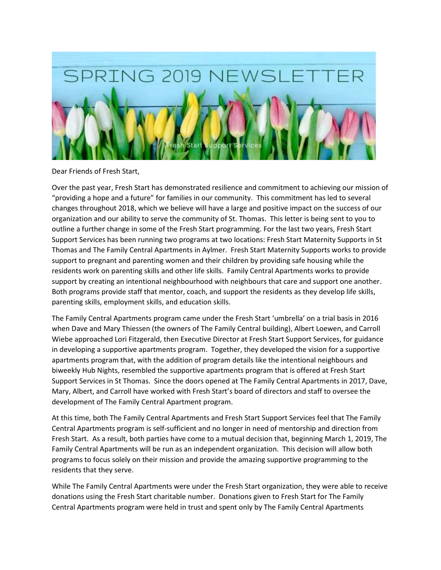

Dear Friends of Fresh Start,

Over the past year, Fresh Start has demonstrated resilience and commitment to achieving our mission of "providing a hope and a future" for families in our community. This commitment has led to several changes throughout 2018, which we believe will have a large and positive impact on the success of our organization and our ability to serve the community of St. Thomas. This letter is being sent to you to outline a further change in some of the Fresh Start programming. For the last two years, Fresh Start Support Services has been running two programs at two locations: Fresh Start Maternity Supports in St Thomas and The Family Central Apartments in Aylmer. Fresh Start Maternity Supports works to provide support to pregnant and parenting women and their children by providing safe housing while the residents work on parenting skills and other life skills. Family Central Apartments works to provide support by creating an intentional neighbourhood with neighbours that care and support one another. Both programs provide staff that mentor, coach, and support the residents as they develop life skills, parenting skills, employment skills, and education skills.

The Family Central Apartments program came under the Fresh Start 'umbrella' on a trial basis in 2016 when Dave and Mary Thiessen (the owners of The Family Central building), Albert Loewen, and Carroll Wiebe approached Lori Fitzgerald, then Executive Director at Fresh Start Support Services, for guidance in developing a supportive apartments program. Together, they developed the vision for a supportive apartments program that, with the addition of program details like the intentional neighbours and biweekly Hub Nights, resembled the supportive apartments program that is offered at Fresh Start Support Services in St Thomas. Since the doors opened at The Family Central Apartments in 2017, Dave, Mary, Albert, and Carroll have worked with Fresh Start's board of directors and staff to oversee the development of The Family Central Apartment program.

At this time, both The Family Central Apartments and Fresh Start Support Services feel that The Family Central Apartments program is self-sufficient and no longer in need of mentorship and direction from Fresh Start. As a result, both parties have come to a mutual decision that, beginning March 1, 2019, The Family Central Apartments will be run as an independent organization. This decision will allow both programs to focus solely on their mission and provide the amazing supportive programming to the residents that they serve.

While The Family Central Apartments were under the Fresh Start organization, they were able to receive donations using the Fresh Start charitable number. Donations given to Fresh Start for The Family Central Apartments program were held in trust and spent only by The Family Central Apartments